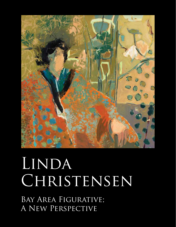

## LINDA CHRISTENSEN

Bay Area Figurative; A New Perspective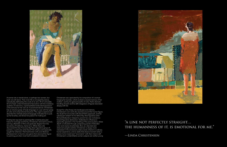

A woman sits or stands alone, or perhaps two women, but each one still alone. Their inner life is conveyed by stance, individuality defined by the crook of an arm, lift of a shoulder, tilt of a head. Linda Christensen's fascination with the revelatory qualities of instinctive, unpremeditated embodied expression is the stimulus for her own art. A practiced dancer, Christensen has an intuitive grasp of body language on a par with her grasp of color and compositional structure. The urge to explore and describe this intimate physical language motivates her to pick up her brushes, and drives her passion for making art.

Finding her way back to painting after a twenty-plus year hiatus for marriage and family, Christensen returned to school, earning a Bachelor of Arts and graduate degree from the University of California, Santa Cruz. While there, she discovered the San Francisco Bay Area Figurative group of painters, in particular artist David Park whose work especially caught her attention. Park had broken with pure Abstract Expressionism to found a new genre that returned the figure to painting just when most had considered it irrelevant.

Christensen was captivated by his composition of a woman hanging her laundry—which evoked a visceral memory of her mother—and by his gestural swaths of color. Park's dramatic handling of paint and his deft integration of figures resonated deeply with her.

Except for a few forays into landscape and interiors, Christensen's own work also revolves around the human figure. No doubt her encounter with David Park's approach, and her subsequent esteem for his fellow Bay Area figurative artist Richard Diebenkorn helped to cement her own inclinations toward figurative abstraction. Diebenkorn's influence is especially apparent in her handling of the picture plane, where depth is indicated through juxtaposing panels of blended color and creamy brushstrokes. But, as a devoted and observant people watcher, Christensen is always more interested in the emotional undercurrents inherent in ordinary human experience, and so seeks that elusive moment when a person turns inward and "reconnects" with their interior self. Christensen's unidentifiable women subjects are neither young

## "a line not perfectly straight…



—Linda Christensen

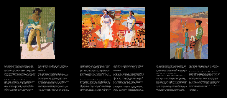



A woman sits or stands alone, or perhaps two women, but each one still alone. Their inner life is conveyed by stance, individuality defined by the crook of an arm, lift of a shoulder, tilt of a head. Linda Christensen's fascination with the revelatory qualities of instinctive, unpremeditated embodied expression is the stimulus for her own art. A practiced dancer, Christensen has an intuitive grasp of body language on a par with her grasp of color and compositional structure. The urge to explore and describe this intimate physical language motivates her to pick up her brushes, and drives her passion for making art.

Finding her way back to painting after a twenty-plus year hiatus for marriage and family, Christensen returned to school, earning a Bachelor of Arts and graduate degree from the University of California, Santa Cruz. While there, she discovered the San Francisco Bay Area Figurative group of painters, in particular artist David Park whose work especially caught her attention. Park had broken with pure Abstract Expressionism to found a new genre that returned the figure to painting just when most had considered it irrelevant.

Christensen was captivated by his composition of a woman hanging her laundry—which evoked a visceral memory of her mother—and by his gestural swaths of color. Park's dramatic handling of paint and his deft integration of figures resonated deeply with her.

Except for a few forays into landscape and interiors, Christensen's own work also revolves around the human figure. No doubt her encounter with David Park's approach, and her subsequent esteem for his fellow Bay Area figurative artist Richard Diebenkorn helped to cement her own inclinations toward figurative abstraction. Diebenkorn's influence is especially apparent in her handling of the picture plane, where depth is indicated through juxtaposing panels of blended color and creamy brushstrokes. But, as a devoted and observant people watcher, Christensen is always more interested in the emotional undercurrents inherent in ordinary human experience, and so seeks that elusive moment when a person turns inward and "reconnects" with their interior self. Christensen's unidentifiable women subjects are neither young nor old, and operate much like an archetype. Her depictions of them absorbed in contemplation or immersed in solitary activity acknowledge her empathy with a few noted artists whose influence she freely admits. French Impressionist Berthe Morisot, one of the first artists to portray women with their families at home, photographer Dorothea Lange, one of the first to examine women's struggle with poverty, and American realist painter Edward Hopper, one of the first to depict the eerie solitariness of city life, are all stances reflected in her work.

Christensen is a committed artist who spends long hours every day in her studio. She often begins painting abstractly and without a distinct idea, laying on color to help establish a flow. She will add in figures and other compositional elements with a quick sketch, then flesh them out with generous quantities of paint blended on her table-sized palette, or with sharp-edged blocks of color applied with a palette knife. An expressionist at heart, she mostly foregoes drawing noting, "a line not perfectly straight… the humanness of it, is emotional for me." As she



works, figures and their surroundings emerge with equal vigor, constructed and defined exclusively through the addition or subtraction of layers of paint. Of this process she says, "I never draw an arm, it's just what's left. I'd rather draw negative space."

In recent works, Christensen has incorporated areas of pattern into her paintings, designing and constructing her own stencils for the process. This innovation has allowed her to break with repetitive habits and expanded her outlook. In the painting, *Night Sky*, 2015, she makes good use of the inclusion of only a few rows of blue dots. Their subtle, seemingly incidental presence adds an unexpected lightness to a quiet moment, and the intersecting blues work to unite the palette and pull the solitary figure more deeply into the scene.

A more complex and dynamic use of pattern makes a big impact in Christensen's painting *Host*, 2015. The single waiting figure, her shoulders slightly raised as she grips the chair, is immersed in and defined by richly blended zones of color and

areas of variously sized dots and plant forms. The work evokes Henri Matisse's brightly patterned Fauvist arrangements, and Édouard Vuillard's dazzling but somewhat claustrophobic interiors. Christensen's eye for color is truly adventurous, and the play of rusty oranges and complementary blues set against muted greens and creams, not to mention her daring touches of pure black, make this painting shimmer.

Christensen takes her Matisse-Vuillard inflected interiors out into nature with the powerful painting *Journal*, 2015. Two women pose side-by-side, a little too far apart to imply true intimacy—their stances not quite harmonious. Matching white dresses glow fiercely with strong summer light, and despite the riotous fields of brilliant oranges, reds, and yellows, the women anchor and dominate the scene. Their bluish shadows mirror the smeary blues of the sea and draw the composition together. Interspersed areas of pattern, dotted with goldenrod ovals and red diamonds add the element of detail, a visual surprise in the otherwise loose, open fields of color. Again Christensen drenches us with her saturated palette and vivid

juxtapositions of color. Placing two bright white figures at center set against a ground of advancing hot color is a daring move, which she pulls off with stunning success. The two mysteriously intriguing figures leave us wanting to know more.

Christensen commits herself emotionally to each work she creates. Her paintings are imbued with personal intention and expression—an attitude she feels is crucial for her own or for any valid artistic endeavor. Her figurative subjects may exist in a hushed arena of stilled time or in lush gardens of color, and whether she conjures them caught in mid stride, distracted, contemplative, or working, they are portrayed without false sentimentality. The seemingly uneventful moments she depicts are in fact made momentous by her recognition of embodied human expression and her eye for color and composition. Christensen actively seeks out those things we miss, and works to honor and beautify them in her art.

Helaine Glick Curatorial Advisor